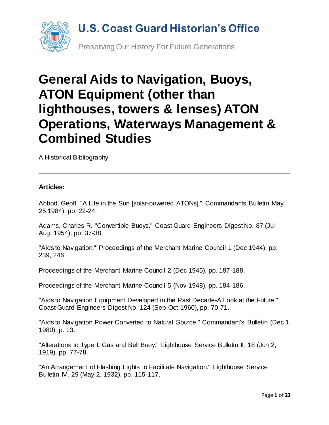

# **General Aids to Navigation, Buoys, ATON Equipment (other than lighthouses, towers & lenses) ATON Operations, Waterways Management & Combined Studies**

A Historical Bibliography

#### **Articles:**

Abbott, Geoff. "A Life in the Sun [solar-powered ATONs]." Commandants Bulletin May 25 1984), pp. 22-24.

Adams, Charles R. "Convertible Buoys." Coast Guard Engineers Digest No. 87 (Jul-Aug, 1954), pp. 37-38.

"Aids to Navigation." Proceedings of the Merchant Marine Council 1 (Dec 1944), pp. 239, 246.

Proceedings of the Merchant Marine Council 2 (Dec 1945), pp. 187-188.

Proceedings of the Merchant Marine Council 5 (Nov 1948), pp. 184-186.

"Aids to Navigation Equipment Developed in the Past Decade-A Look at the Future." Coast Guard Engineers Digest No. 124 (Sep-Oct 1960), pp. 70-71.

"Aids to Navigation Power Converted to Natural Source." Commandant's Bulletin (Dec 1 1980), p. 13.

"Alterations to Type L Gas and Bell Buoy." Lighthouse Service Bulletin II, 18 (Jun 2, 1919), pp. 77-78.

"An Arrangement of Flashing Lights to Facilitate Navigation." Lighthouse Service Bulletin IV, 29 (May 2, 1932), pp. 115-117.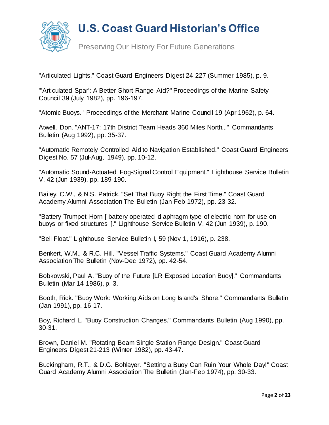

Preserving Our History For Future Generations

"Articulated Lights." Coast Guard Engineers Digest 24-227 (Summer 1985), p. 9.

"'Articulated Spar': A Better Short-Range Aid?" Proceedings of the Marine Safety Council 39 (July 1982), pp. 196-197.

"Atomic Buoys." Proceedings of the Merchant Marine Council 19 (Apr 1962), p. 64.

Atwell, Don. "ANT-17: 17th District Team Heads 360 Miles North..." Commandants Bulletin (Aug 1992), pp. 35-37.

"Automatic Remotely Controlled Aid to Navigation Established." Coast Guard Engineers Digest No. 57 (Jul-Aug, 1949), pp. 10-12.

"Automatic Sound-Actuated Fog-Signal Control Equipment." Lighthouse Service Bulletin V, 42 (Jun 1939), pp. 189-190.

Bailey, C.W., & N.S. Patrick. "Set That Buoy Right the First Time." Coast Guard Academy Alumni Association The Bulletin (Jan-Feb 1972), pp. 23-32.

"Battery Trumpet Horn [ battery-operated diaphragm type of electric horn for use on buoys or fixed structures ]." Lighthouse Service Bulletin V, 42 (Jun 1939), p. 190.

"Bell Float." Lighthouse Service Bulletin I, 59 (Nov 1, 1916), p. 238.

Benkert, W.M., & R.C. Hill. "Vessel Traffic Systems." Coast Guard Academy Alumni Association The Bulletin (Nov-Dec 1972), pp. 42-54.

Bobkowski, Paul A. "Buoy of the Future [LR Exposed Location Buoy]." Commandants Bulletin (Mar 14 1986), p. 3.

Booth, Rick. "Buoy Work: Working Aids on Long Island's Shore." Commandants Bulletin (Jan 1991), pp. 16-17.

Boy, Richard L. "Buoy Construction Changes." Commandants Bulletin (Aug 1990), pp. 30-31.

Brown, Daniel M. "Rotating Beam Single Station Range Design." Coast Guard Engineers Digest 21-213 (Winter 1982), pp. 43-47.

Buckingham, R.T., & D.G. Bohlayer. "Setting a Buoy Can Ruin Your Whole Day!" Coast Guard Academy Alumni Association The Bulletin (Jan-Feb 1974), pp. 30-33.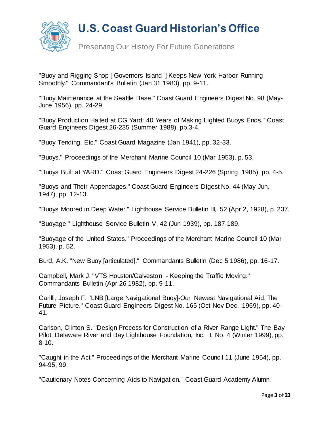

Preserving Our History For Future Generations

"Buoy and Rigging Shop [ Governors Island ] Keeps New York Harbor Running Smoothly." Commandant's Bulletin (Jan 31 1983), pp. 9-11.

"Buoy Maintenance at the Seattle Base." Coast Guard Engineers Digest No. 98 (May-June 1956), pp. 24-29.

"Buoy Production Halted at CG Yard: 40 Years of Making Lighted Buoys Ends." Coast Guard Engineers Digest 26-235 (Summer 1988), pp.3-4.

"Buoy Tending, Etc." Coast Guard Magazine (Jan 1941), pp. 32-33.

"Buoys." Proceedings of the Merchant Marine Council 10 (Mar 1953), p. 53.

"Buoys Built at YARD." Coast Guard Engineers Digest 24-226 (Spring, 1985), pp. 4-5.

"Buoys and Their Appendages." Coast Guard Engineers Digest No. 44 (May-Jun, 1947), pp. 12-13.

"Buoys Moored in Deep Water." Lighthouse Service Bulletin III, 52 (Apr 2, 1928), p. 237.

"Buoyage." Lighthouse Service Bulletin V, 42 (Jun 1939), pp. 187-189.

"Buoyage of the United States." Proceedings of the Merchant Marine Council 10 (Mar 1953), p. 52.

Burd, A.K. "New Buoy [articulated]." Commandants Bulletin (Dec 5 1986), pp. 16-17.

Campbell, Mark J. "VTS Houston/Galveston - Keeping the Traffic Moving." Commandants Bulletin (Apr 26 1982), pp. 9-11.

Carilli, Joseph F. "LNB [Large Navigational Buoy]-Our Newest Navigational Aid, The Future Picture." Coast Guard Engineers Digest No. 165 (Oct-Nov-Dec, 1969), pp. 40- 41.

Carlson, Clinton S. "Design Process for Construction of a River Range Light." The Bay Pilot: Delaware River and Bay Lighthouse Foundation, Inc. I, No. 4 (Winter 1999), pp. 8-10.

"Caught in the Act." Proceedings of the Merchant Marine Council 11 (June 1954), pp. 94-95, 99.

"Cautionary Notes Concerning Aids to Navigation." Coast Guard Academy Alumni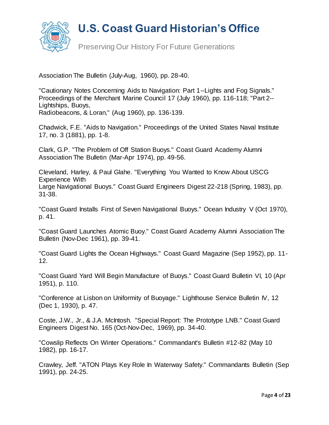

Preserving Our History For Future Generations

Association The Bulletin (July-Aug, 1960), pp. 28-40.

"Cautionary Notes Concerning Aids to Navigation: Part 1--Lights and Fog Signals." Proceedings of the Merchant Marine Council 17 (July 1960), pp. 116-118; "Part 2-- Lightships, Buoys, Radiobeacons, & Loran," (Aug 1960), pp. 136-139.

Chadwick, F.E. "Aids to Navigation." Proceedings of the United States Naval Institute 17, no. 3 (1881), pp. 1-8.

Clark, G.P. "The Problem of Off Station Buoys." Coast Guard Academy Alumni Association The Bulletin (Mar-Apr 1974), pp. 49-56.

Cleveland, Harley, & Paul Glahe. "Everything You Wanted to Know About USCG Experience With

Large Navigational Buoys." Coast Guard Engineers Digest 22-218 (Spring, 1983), pp. 31-38.

"Coast Guard Installs First of Seven Navigational Buoys." Ocean Industry V (Oct 1970), p. 41.

"Coast Guard Launches Atomic Buoy." Coast Guard Academy Alumni Association The Bulletin (Nov-Dec 1961), pp. 39-41.

"Coast Guard Lights the Ocean Highways." Coast Guard Magazine (Sep 1952), pp. 11- 12.

"Coast Guard Yard Will Begin Manufacture of Buoys." Coast Guard Bulletin VI, 10 (Apr 1951), p. 110.

"Conference at Lisbon on Uniformity of Buoyage." Lighthouse Service Bulletin IV, 12 (Dec 1, 1930), p. 47.

Coste, J.W., Jr., & J.A. McIntosh. "Special Report: The Prototype LNB." Coast Guard Engineers Digest No. 165 (Oct-Nov-Dec, 1969), pp. 34-40.

"Cowslip Reflects On Winter Operations." Commandant's Bulletin #12-82 (May 10 1982), pp. 16-17.

Crawley, Jeff. "ATON Plays Key Role In Waterway Safety." Commandants Bulletin (Sep 1991), pp. 24-25.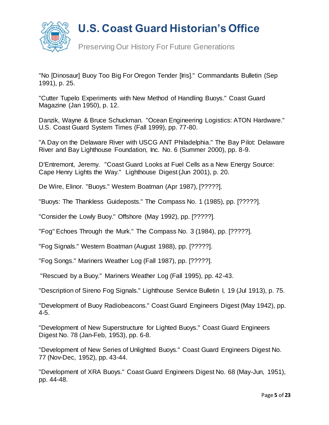

Preserving Our History For Future Generations

"No [Dinosaur] Buoy Too Big For Oregon Tender [Iris]." Commandants Bulletin (Sep 1991), p. 25.

"Cutter Tupelo Experiments with New Method of Handling Buoys." Coast Guard Magazine (Jan 1950), p. 12.

Danzik, Wayne & Bruce Schuckman. "Ocean Engineering Logistics: ATON Hardware." U.S. Coast Guard System Times (Fall 1999), pp. 77-80.

"A Day on the Delaware River with USCG ANT Philadelphia." The Bay Pilot: Delaware River and Bay Lighthouse Foundation, Inc. No. 6 (Summer 2000), pp. 8-9.

D'Entremont, Jeremy. "Coast Guard Looks at Fuel Cells as a New Energy Source: Cape Henry Lights the Way." Lighthouse Digest (Jun 2001), p. 20.

De Wire, Elinor. "Buoys." Western Boatman (Apr 1987), [?????].

"Buoys: The Thankless Guideposts." The Compass No. 1 (1985), pp. [?????].

"Consider the Lowly Buoy." Offshore (May 1992), pp. [?????].

"Fog" Echoes Through the Murk." The Compass No. 3 (1984), pp. [?????].

"Fog Signals." Western Boatman (August 1988), pp. [?????].

"Fog Songs." Mariners Weather Log (Fall 1987), pp. [?????].

"Rescued by a Buoy." Mariners Weather Log (Fall 1995), pp. 42-43.

"Description of Sireno Fog Signals." Lighthouse Service Bulletin I, 19 (Jul 1913), p. 75.

"Development of Buoy Radiobeacons." Coast Guard Engineers Digest (May 1942), pp. 4-5.

"Development of New Superstructure for Lighted Buoys." Coast Guard Engineers Digest No. 78 (Jan-Feb, 1953), pp. 6-8.

"Development of New Series of Unlighted Buoys." Coast Guard Engineers Digest No. 77 (Nov-Dec, 1952), pp. 43-44.

"Development of XRA Buoys." Coast Guard Engineers Digest No. 68 (May-Jun, 1951), pp. 44-48.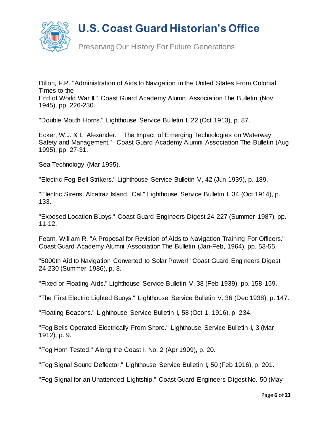

Preserving Our History For Future Generations

Dillon, F.P. "Administration of Aids to Navigation in the United States From Colonial Times to the End of World War II." Coast Guard Academy Alumni Association The Bulletin (Nov 1945), pp. 226-230.

"Double Mouth Horns." Lighthouse Service Bulletin I, 22 (Oct 1913), p. 87.

Ecker, W.J. & L. Alexander. "The Impact of Emerging Technologies on Waterway Safety and Management." Coast Guard Academy Alumni Association The Bulletin (Aug 1995), pp. 27-31.

Sea Technology (Mar 1995).

"Electric Fog-Bell Strikers." Lighthouse Service Bulletin V, 42 (Jun 1939), p. 189.

"Electric Sirens, Alcatraz Island, Cal." Lighthouse Service Bulletin I, 34 (Oct 1914), p. 133.

"Exposed Location Buoys." Coast Guard Engineers Digest 24-227 (Summer 1987), pp. 11-12.

Fearn, William R. "A Proposal for Revision of Aids to Navigation Training For Officers." Coast Guard Academy Alumni Association The Bulletin (Jan-Feb, 1964), pp. 53-55.

"5000th Aid to Navigation Converted to Solar Power!" Coast Guard Engineers Digest 24-230 (Summer 1986), p. 8.

"Fixed or Floating Aids." Lighthouse Service Bulletin V, 38 (Feb 1939), pp. 158-159.

"The First Electric Lighted Buoys." Lighthouse Service Bulletin V, 36 (Dec 1938), p. 147.

"Floating Beacons." Lighthouse Service Bulletin I, 58 (Oct 1, 1916), p. 234.

"Fog Bells Operated Electrically From Shore." Lighthouse Service Bulletin I, 3 (Mar 1912), p. 9.

"Fog Horn Tested." Along the Coast I, No. 2 (Apr 1909), p. 20.

"Fog Signal Sound Deflector." Lighthouse Service Bulletin I, 50 (Feb 1916), p. 201.

"Fog Signal for an Unattended Lightship." Coast Guard Engineers Digest No. 50 (May-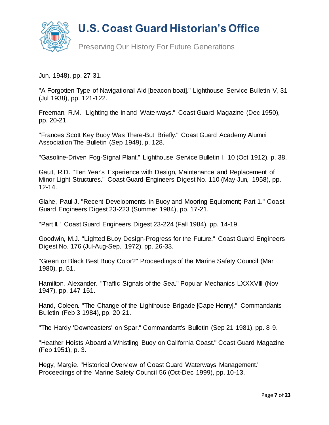

Preserving Our History For Future Generations

Jun, 1948), pp. 27-31.

"A Forgotten Type of Navigational Aid [beacon boat]." Lighthouse Service Bulletin V, 31 (Jul 1938), pp. 121-122.

Freeman, R.M. "Lighting the Inland Waterways." Coast Guard Magazine (Dec 1950), pp. 20-21.

"Frances Scott Key Buoy Was There-But Briefly." Coast Guard Academy Alumni Association The Bulletin (Sep 1949), p. 128.

"Gasoline-Driven Fog-Signal Plant." Lighthouse Service Bulletin I, 10 (Oct 1912), p. 38.

Gault, R.D. "Ten Year's Experience with Design, Maintenance and Replacement of Minor Light Structures." Coast Guard Engineers Digest No. 110 (May-Jun, 1958), pp. 12-14.

Glahe, Paul J. "Recent Developments in Buoy and Mooring Equipment; Part 1." Coast Guard Engineers Digest 23-223 (Summer 1984), pp. 17-21.

"Part II." Coast Guard Engineers Digest 23-224 (Fall 1984), pp. 14-19.

Goodwin, M.J. "Lighted Buoy Design-Progress for the Future." Coast Guard Engineers Digest No. 176 (Jul-Aug-Sep, 1972), pp. 26-33.

"Green or Black Best Buoy Color?" Proceedings of the Marine Safety Council (Mar 1980), p. 51.

Hamilton, Alexander. "Traffic Signals of the Sea." Popular Mechanics LXXXVIII (Nov 1947), pp. 147-151.

Hand, Coleen. "The Change of the Lighthouse Brigade [Cape Henry]." Commandants Bulletin (Feb 3 1984), pp. 20-21.

"The Hardy 'Downeasters' on Spar." Commandant's Bulletin (Sep 21 1981), pp. 8-9.

"Heather Hoists Aboard a Whistling Buoy on California Coast." Coast Guard Magazine (Feb 1951), p. 3.

Hegy, Margie. "Historical Overview of Coast Guard Waterways Management." Proceedings of the Marine Safety Council 56 (Oct-Dec 1999), pp. 10-13.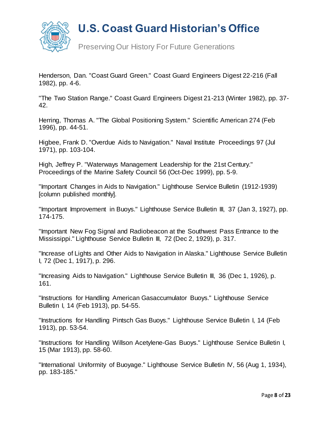

Preserving Our History For Future Generations

Henderson, Dan. "Coast Guard Green." Coast Guard Engineers Digest 22-216 (Fall 1982), pp. 4-6.

"The Two Station Range." Coast Guard Engineers Digest 21-213 (Winter 1982), pp. 37- 42.

Herring, Thomas A. "The Global Positioning System." Scientific American 274 (Feb 1996), pp. 44-51.

Higbee, Frank D. "Overdue Aids to Navigation." Naval Institute Proceedings 97 (Jul 1971), pp. 103-104.

High, Jeffrey P. "Waterways Management Leadership for the 21st Century." Proceedings of the Marine Safety Council 56 (Oct-Dec 1999), pp. 5-9.

"Important Changes in Aids to Navigation." Lighthouse Service Bulletin (1912-1939) [column published monthly].

"Important Improvement in Buoys." Lighthouse Service Bulletin III, 37 (Jan 3, 1927), pp. 174-175.

"Important New Fog Signal and Radiobeacon at the Southwest Pass Entrance to the Mississippi." Lighthouse Service Bulletin III, 72 (Dec 2, 1929), p. 317.

"Increase of Lights and Other Aids to Navigation in Alaska." Lighthouse Service Bulletin I, 72 (Dec 1, 1917), p. 296.

"Increasing Aids to Navigation." Lighthouse Service Bulletin III, 36 (Dec 1, 1926), p. 161.

"Instructions for Handling American Gasaccumulator Buoys." Lighthouse Service Bulletin I, 14 (Feb 1913), pp. 54-55.

"Instructions for Handling Pintsch Gas Buoys." Lighthouse Service Bulletin I, 14 (Feb 1913), pp. 53-54.

"Instructions for Handling Willson Acetylene-Gas Buoys." Lighthouse Service Bulletin I, 15 (Mar 1913), pp. 58-60.

"International Uniformity of Buoyage." Lighthouse Service Bulletin IV, 56 (Aug 1, 1934), pp. 183-185."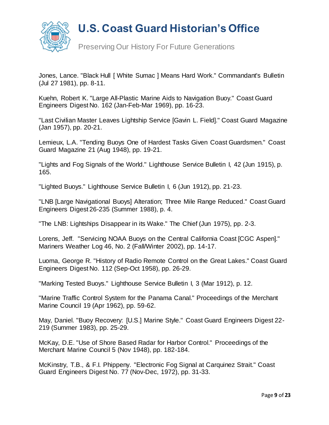

Preserving Our History For Future Generations

Jones, Lance. "Black Hull [ White Sumac ] Means Hard Work." Commandant's Bulletin (Jul 27 1981), pp. 8-11.

Kuehn, Robert K. "Large All-Plastic Marine Aids to Navigation Buoy." Coast Guard Engineers Digest No. 162 (Jan-Feb-Mar 1969), pp. 16-23.

"Last Civilian Master Leaves Lightship Service [Gavin L. Field]." Coast Guard Magazine (Jan 1957), pp. 20-21.

Lemieux, L.A. "Tending Buoys One of Hardest Tasks Given Coast Guardsmen." Coast Guard Magazine 21 (Aug 1948), pp. 19-21.

"Lights and Fog Signals of the World." Lighthouse Service Bulletin I, 42 (Jun 1915), p. 165.

"Lighted Buoys." Lighthouse Service Bulletin I, 6 (Jun 1912), pp. 21-23.

"LNB [Large Navigational Buoys] Alteration; Three Mile Range Reduced." Coast Guard Engineers Digest 26-235 (Summer 1988), p. 4.

"The LNB: Lightships Disappear in its Wake." The Chief (Jun 1975), pp. 2-3.

Lorens, Jeff. "Servicing NOAA Buoys on the Central California Coast [CGC Aspen]." Mariners Weather Log 46, No. 2 (Fall/Winter 2002), pp. 14-17.

Luoma, George R. "History of Radio Remote Control on the Great Lakes." Coast Guard Engineers Digest No. 112 (Sep-Oct 1958), pp. 26-29.

"Marking Tested Buoys." Lighthouse Service Bulletin I, 3 (Mar 1912), p. 12.

"Marine Traffic Control System for the Panama Canal." Proceedings of the Merchant Marine Council 19 (Apr 1962), pp. 59-62.

May, Daniel. "Buoy Recovery: [U.S.] Marine Style." Coast Guard Engineers Digest 22- 219 (Summer 1983), pp. 25-29.

McKay, D.E. "Use of Shore Based Radar for Harbor Control." Proceedings of the Merchant Marine Council 5 (Nov 1948), pp. 182-184.

McKinstry, T.B., & F.I. Phippeny. "Electronic Fog Signal at Carquinez Strait." Coast Guard Engineers Digest No. 77 (Nov-Dec, 1972), pp. 31-33.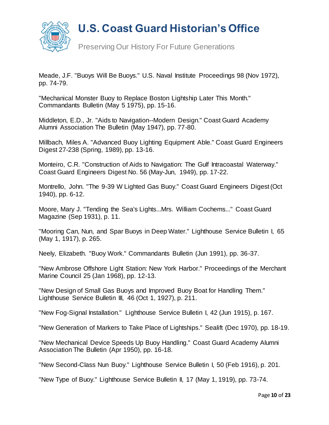

Preserving Our History For Future Generations

Meade, J.F. "Buoys Will Be Buoys." U.S. Naval Institute Proceedings 98 (Nov 1972), pp. 74-79.

"Mechanical Monster Buoy to Replace Boston Lightship Later This Month." Commandants Bulletin (May 5 1975), pp. 15-16.

Middleton, E.D., Jr. "Aids to Navigation--Modern Design." Coast Guard Academy Alumni Association The Bulletin (May 1947), pp. 77-80.

Millbach, Miles A. "Advanced Buoy Lighting Equipment Able." Coast Guard Engineers Digest 27-238 (Spring, 1989), pp. 13-16.

Monteiro, C.R. "Construction of Aids to Navigation: The Gulf Intracoastal Waterway." Coast Guard Engineers Digest No. 56 (May-Jun, 1949), pp. 17-22.

Montrello, John. "The 9-39 W Lighted Gas Buoy." Coast Guard Engineers Digest (Oct 1940), pp. 6-12.

Moore, Mary J. "Tending the Sea's Lights...Mrs. William Cochems..." Coast Guard Magazine (Sep 1931), p. 11.

"Mooring Can, Nun, and Spar Buoys in Deep Water." Lighthouse Service Bulletin I, 65 (May 1, 1917), p. 265.

Neely, Elizabeth. "Buoy Work." Commandants Bulletin (Jun 1991), pp. 36-37.

"New Ambrose Offshore Light Station: New York Harbor." Proceedings of the Merchant Marine Council 25 (Jan 1968), pp. 12-13.

"New Design of Small Gas Buoys and Improved Buoy Boat for Handling Them." Lighthouse Service Bulletin III, 46 (Oct 1, 1927), p. 211.

"New Fog-Signal Installation." Lighthouse Service Bulletin I, 42 (Jun 1915), p. 167.

"New Generation of Markers to Take Place of Lightships." Sealift (Dec 1970), pp. 18-19.

"New Mechanical Device Speeds Up Buoy Handling." Coast Guard Academy Alumni Association The Bulletin (Apr 1950), pp. 16-18.

"New Second-Class Nun Buoy." Lighthouse Service Bulletin I, 50 (Feb 1916), p. 201.

"New Type of Buoy." Lighthouse Service Bulletin II, 17 (May 1, 1919), pp. 73-74.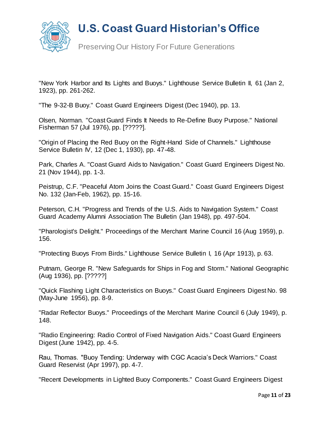

"New York Harbor and Its Lights and Buoys." Lighthouse Service Bulletin II, 61 (Jan 2, 1923), pp. 261-262.

"The 9-32-B Buoy." Coast Guard Engineers Digest (Dec 1940), pp. 13.

Olsen, Norman. "Coast Guard Finds It Needs to Re-Define Buoy Purpose." National Fisherman 57 (Jul 1976), pp. [?????].

"Origin of Placing the Red Buoy on the Right-Hand Side of Channels." Lighthouse Service Bulletin IV, 12 (Dec 1, 1930), pp. 47-48.

Park, Charles A. "Coast Guard Aids to Navigation." Coast Guard Engineers Digest No. 21 (Nov 1944), pp. 1-3.

Peistrup, C.F. "Peaceful Atom Joins the Coast Guard." Coast Guard Engineers Digest No. 132 (Jan-Feb, 1962), pp. 15-16.

Peterson, C.H. "Progress and Trends of the U.S. Aids to Navigation System." Coast Guard Academy Alumni Association The Bulletin (Jan 1948), pp. 497-504.

"Pharologist's Delight." Proceedings of the Merchant Marine Council 16 (Aug 1959), p. 156.

"Protecting Buoys From Birds." Lighthouse Service Bulletin I, 16 (Apr 1913), p. 63.

Putnam, George R. "New Safeguards for Ships in Fog and Storm." National Geographic (Aug 1936), pp. [?????]

"Quick Flashing Light Characteristics on Buoys." Coast Guard Engineers Digest No. 98 (May-June 1956), pp. 8-9.

"Radar Reflector Buoys." Proceedings of the Merchant Marine Council 6 (July 1949), p. 148.

"Radio Engineering: Radio Control of Fixed Navigation Aids." Coast Guard Engineers Digest (June 1942), pp. 4-5.

Rau, Thomas. "Buoy Tending: Underway with CGC Acacia's Deck Warriors." Coast Guard Reservist (Apr 1997), pp. 4-7.

"Recent Developments in Lighted Buoy Components." Coast Guard Engineers Digest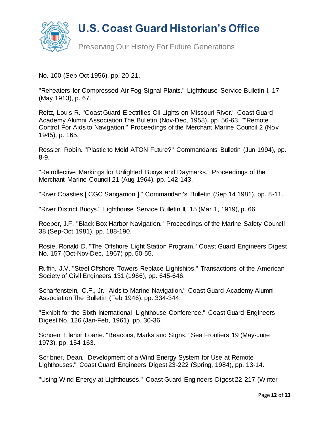

Preserving Our History For Future Generations

No. 100 (Sep-Oct 1956), pp. 20-21.

"Reheaters for Compressed-Air Fog-Signal Plants." Lighthouse Service Bulletin I, 17 (May 1913), p. 67.

Reitz, Louis R. "Coast Guard Electrifies Oil Lights on Missouri River." Coast Guard Academy Alumni Association The Bulletin (Nov-Dec, 1958), pp. 56-63. ""Remote Control For Aids to Navigation." Proceedings of the Merchant Marine Council 2 (Nov 1945), p. 165.

Ressler, Robin. "Plastic to Mold ATON Future?" Commandants Bulletin (Jun 1994), pp. 8-9.

"Retroflective Markings for Unlighted Buoys and Daymarks." Proceedings of the Merchant Marine Council 21 (Aug 1964), pp. 142-143.

"River Coasties [ CGC Sangamon ]." Commandant's Bulletin (Sep 14 1981), pp. 8-11.

"River District Buoys." Lighthouse Service Bulletin II, 15 (Mar 1, 1919), p. 66.

Roeber, J.F. "Black Box Harbor Navigation." Proceedings of the Marine Safety Council 38 (Sep-Oct 1981), pp. 188-190.

Rosie, Ronald D. "The Offshore Light Station Program." Coast Guard Engineers Digest No. 157 (Oct-Nov-Dec, 1967) pp. 50-55.

Ruffin, J.V. "Steel Offshore Towers Replace Lightships." Transactions of the American Society of Civil Engineers 131 (1966), pp. 645-646.

Scharfenstein, C.F., Jr. "Aids to Marine Navigation." Coast Guard Academy Alumni Association The Bulletin (Feb 1946), pp. 334-344.

"Exhibit for the Sixth International Lighthouse Conference." Coast Guard Engineers Digest No. 126 (Jan-Feb, 1961), pp. 30-36.

Schoen, Elenor Loarie. "Beacons, Marks and Signs." Sea Frontiers 19 (May-June 1973), pp. 154-163.

Scribner, Dean. "Development of a Wind Energy System for Use at Remote Lighthouses." Coast Guard Engineers Digest 23-222 (Spring, 1984), pp. 13-14.

"Using Wind Energy at Lighthouses." Coast Guard Engineers Digest 22-217 (Winter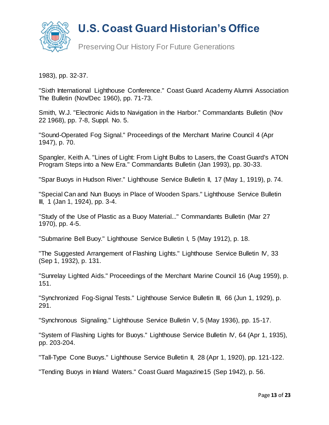

1983), pp. 32-37.

"Sixth International Lighthouse Conference." Coast Guard Academy Alumni Association The Bulletin (Nov/Dec 1960), pp. 71-73.

Smith, W.J. "Electronic Aids to Navigation in the Harbor." Commandants Bulletin (Nov 22 1968), pp. 7-8, Suppl. No. 5.

"Sound-Operated Fog Signal." Proceedings of the Merchant Marine Council 4 (Apr 1947), p. 70.

Spangler, Keith A. "Lines of Light: From Light Bulbs to Lasers, the Coast Guard's ATON Program Steps into a New Era." Commandants Bulletin (Jan 1993), pp. 30-33.

"Spar Buoys in Hudson River." Lighthouse Service Bulletin II, 17 (May 1, 1919), p. 74.

"Special Can and Nun Buoys in Place of Wooden Spars." Lighthouse Service Bulletin III, 1 (Jan 1, 1924), pp. 3-4.

"Study of the Use of Plastic as a Buoy Material..." Commandants Bulletin (Mar 27 1970), pp. 4-5.

"Submarine Bell Buoy." Lighthouse Service Bulletin I, 5 (May 1912), p. 18.

"The Suggested Arrangement of Flashing Lights." Lighthouse Service Bulletin IV, 33 (Sep 1, 1932), p. 131.

"Sunrelay Lighted Aids." Proceedings of the Merchant Marine Council 16 (Aug 1959), p. 151.

"Synchronized Fog-Signal Tests." Lighthouse Service Bulletin III, 66 (Jun 1, 1929), p. 291.

"Synchronous Signaling." Lighthouse Service Bulletin V, 5 (May 1936), pp. 15-17.

"System of Flashing Lights for Buoys." Lighthouse Service Bulletin IV, 64 (Apr 1, 1935), pp. 203-204.

"Tall-Type Cone Buoys." Lighthouse Service Bulletin II, 28 (Apr 1, 1920), pp. 121-122.

"Tending Buoys in Inland Waters." Coast Guard Magazine15 (Sep 1942), p. 56.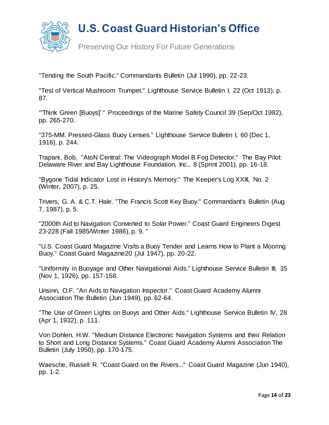

Preserving Our History For Future Generations

"Tending the South Pacific." Commandants Bulletin (Jul 1990), pp. 22-23.

"Test of Vertical Mushroom Trumpet." Lighthouse Service Bulletin I, 22 (Oct 1913), p. 87.

"'Think Green [Buoys]'." Proceedings of the Marine Safety Council 39 (Sep/Oct 1982), pp. 265-270.

"375-MM. Pressed-Glass Buoy Lenses." Lighthouse Service Bulletin I, 60 (Dec 1, 1916), p. 244.

Trapani, Bob. "AtoN Central: The Videograph Model B Fog Detector." The Bay Pilot: Delaware River and Bay Lighthouse Foundation, Inc., 8 (Sprint 2001), pp. 16-18.

"Bygone Tidal Indicator Lost in History's Memory." The Keeper's Log XXIII, No. 2 (Winter, 2007), p. 25.

Trivers, G. A. & C.T. Hale. "The Francis Scott Key Buoy." Commandant's Bulletin (Aug 7, 1987), p. 5.

"2000th Aid to Navigation Converted to Solar Power." Coast Guard Engineers Digest 23-228 (Fall 1985/Winter 1986), p. 9. "

"U.S. Coast Guard Magazine Visits a Buoy Tender and Learns How to Plant a Mooring Buoy." Coast Guard Magazine20 (Jul 1947), pp. 20-22.

"Uniformity in Buoyage and Other Navigational Aids." Lighthouse Service Bulletin III, 35 (Nov 1, 1926), pp. 157-158.

Unsinn, O.F. "An Aids to Navigation Inspector." Coast Guard Academy Alumni Association The Bulletin (Jun 1949), pp. 62-64.

"The Use of Green Lights on Buoys and Other Aids." Lighthouse Service Bulletin IV, 28 (Apr 1, 1932), p. 111.

Von Dohlen, H.W. "Medium Distance Electronic Navigation Systems and their Relation to Short and Long Distance Systems." Coast Guard Academy Alumni Association The Bulletin (July 1950), pp. 170-175.

Waesche, Russell R. "Coast Guard on the Rivers..." Coast Guard Magazine (Jun 1940), pp. 1-2.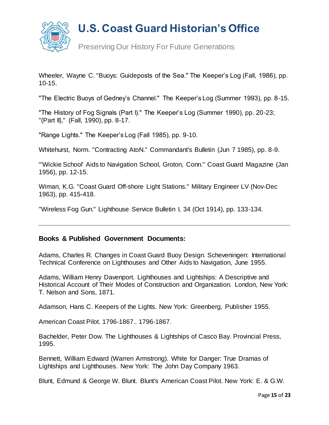

Preserving Our History For Future Generations

Wheeler, Wayne C. "Buoys: Guideposts of the Sea." The Keeper's Log (Fall, 1986), pp. 10-15.

"The Electric Buoys of Gedney's Channel." The Keeper's Log (Summer 1993), pp. 8-15.

"The History of Fog Signals (Part I)." The Keeper's Log (Summer 1990), pp. 20-23; "(Part II)," (Fall, 1990), pp. 8-17.

"Range Lights." The Keeper's Log (Fall 1985), pp. 9-10.

Whitehurst, Norm. "Contracting AtoN." Commandant's Bulletin (Jun 7 1985), pp. 8-9.

"'Wickie School' Aids to Navigation School, Groton, Conn." Coast Guard Magazine (Jan 1956), pp. 12-15.

Wiman, K.G. "Coast Guard Off-shore Light Stations." Military Engineer LV (Nov-Dec 1963), pp. 415-418.

"Wireless Fog Gun." Lighthouse Service Bulletin I, 34 (Oct 1914), pp. 133-134.

#### **Books & Published Government Documents:**

Adams, Charles R. Changes in Coast Guard Buoy Design. Scheveningen: International Technical Conference on Lighthouses and Other Aids to Navigation, June 1955.

Adams, William Henry Davenport. Lighthouses and Lightships: A Descriptive and Historical Account of Their Modes of Construction and Organization. London, New York: T. Nelson and Sons, 1871.

Adamson, Hans C. Keepers of the Lights. New York: Greenberg, Publisher 1955.

American Coast Pilot. 1796-1867.. 1796-1867.

Bachelder, Peter Dow. The Lighthouses & Lightships of Casco Bay. Provincial Press, 1995.

Bennett, William Edward (Warren Armstrong). White for Danger: True Dramas of Lightships and Lighthouses. New York: The John Day Company 1963.

Blunt, Edmund & George W. Blunt. Blunt's American Coast Pilot. New York: E. & G.W.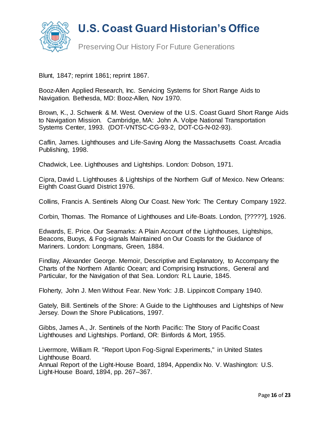

Preserving Our History For Future Generations

Blunt, 1847; reprint 1861; reprint 1867.

Booz-Allen Applied Research, Inc. Servicing Systems for Short Range Aids to Navigation. Bethesda, MD: Booz-Allen, Nov 1970.

Brown, K., J. Schwenk & M. West. Overview of the U.S. Coast Guard Short Range Aids to Navigation Mission. Cambridge, MA: John A. Volpe National Transportation Systems Center, 1993. (DOT-VNTSC-CG-93-2, DOT-CG-N-02-93).

Caflin, James. Lighthouses and Life-Saving Along the Massachusetts Coast. Arcadia Publishing, 1998.

Chadwick, Lee. Lighthouses and Lightships. London: Dobson, 1971.

Cipra, David L. Lighthouses & Lightships of the Northern Gulf of Mexico. New Orleans: Eighth Coast Guard District 1976.

Collins, Francis A. Sentinels Along Our Coast. New York: The Century Company 1922.

Corbin, Thomas. The Romance of Lighthouses and Life-Boats. London, [?????], 1926.

Edwards, E. Price. Our Seamarks: A Plain Account of the Lighthouses, Lightships, Beacons, Buoys, & Fog-signals Maintained on Our Coasts for the Guidance of Mariners. London: Longmans, Green, 1884.

Findlay, Alexander George. Memoir, Descriptive and Explanatory, to Accompany the Charts of the Northern Atlantic Ocean; and Comprising Instructions, General and Particular, for the Navigation of that Sea. London: R.L Laurie, 1845.

Floherty, John J. Men Without Fear. New York: J.B. Lippincott Company 1940.

Gately, Bill. Sentinels of the Shore: A Guide to the Lighthouses and Lightships of New Jersey. Down the Shore Publications, 1997.

Gibbs, James A., Jr. Sentinels of the North Pacific: The Story of Pacific Coast Lighthouses and Lightships. Portland, OR: Binfords & Mort, 1955.

Livermore, William R. "Report Upon Fog-Signal Experiments," in United States Lighthouse Board.

Annual Report of the Light-House Board, 1894, Appendix No. V. Washington: U.S. Light-House Board, 1894, pp. 267–367.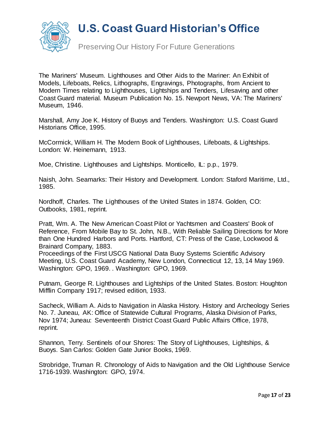

Preserving Our History For Future Generations

The Mariners' Museum. Lighthouses and Other Aids to the Mariner: An Exhibit of Models, Lifeboats, Relics, Lithographs, Engravings, Photographs, from Ancient to Modern Times relating to Lighthouses, Lightships and Tenders, Lifesaving and other Coast Guard material. Museum Publication No. 15. Newport News, VA: The Mariners' Museum, 1946.

Marshall, Amy Joe K. History of Buoys and Tenders. Washington: U.S. Coast Guard Historians Office, 1995.

McCormick, William H. The Modern Book of Lighthouses, Lifeboats, & Lightships. London: W. Heinemann, 1913.

Moe, Christine. Lighthouses and Lightships. Monticello, IL: p.p., 1979.

Naish, John. Seamarks: Their History and Development. London: Staford Maritime, Ltd., 1985.

Nordhoff, Charles. The Lighthouses of the United States in 1874. Golden, CO: Outbooks, 1981, reprint.

Pratt, Wm. A. The New American Coast Pilot or Yachtsmen and Coasters' Book of Reference, From Mobile Bay to St. John, N.B., With Reliable Sailing Directions for More than One Hundred Harbors and Ports. Hartford, CT: Press of the Case, Lockwood & Brainard Company, 1883.

Proceedings of the First USCG National Data Buoy Systems Scientific Advisory Meeting, U.S. Coast Guard Academy, New London, Connecticut 12, 13, 14 May 1969. Washington: GPO, 1969. . Washington: GPO, 1969.

Putnam, George R. Lighthouses and Lightships of the United States. Boston: Houghton Mifflin Company 1917; revised edition, 1933.

Sacheck, William A. Aids to Navigation in Alaska History. History and Archeology Series No. 7. Juneau, AK: Office of Statewide Cultural Programs, Alaska Division of Parks, Nov 1974; Juneau: Seventeenth District Coast Guard Public Affairs Office, 1978, reprint.

Shannon, Terry. Sentinels of our Shores: The Story of Lighthouses, Lightships, & Buoys. San Carlos: Golden Gate Junior Books, 1969.

Strobridge, Truman R. Chronology of Aids to Navigation and the Old Lighthouse Service 1716-1939. Washington: GPO, 1974.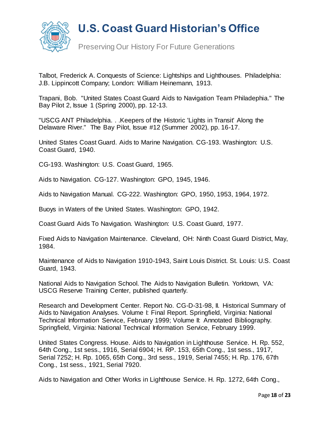

Preserving Our History For Future Generations

Talbot, Frederick A. Conquests of Science: Lightships and Lighthouses. Philadelphia: J.B. Lippincott Company; London: William Heinemann, 1913.

Trapani, Bob. "United States Coast Guard Aids to Navigation Team Philadephia." The Bay Pilot 2, Issue 1 (Spring 2000), pp. 12-13.

"USCG ANT Philadelphia. . .Keepers of the Historic 'Lights in Transit' Along the Delaware River." The Bay Pilot, Issue #12 (Summer 2002), pp. 16-17.

United States Coast Guard. Aids to Marine Navigation. CG-193. Washington: U.S. Coast Guard, 1940.

CG-193. Washington: U.S. Coast Guard, 1965.

Aids to Navigation. CG-127. Washington: GPO, 1945, 1946.

Aids to Navigation Manual. CG-222. Washington: GPO, 1950, 1953, 1964, 1972.

Buoys in Waters of the United States. Washington: GPO, 1942.

Coast Guard Aids To Navigation. Washington: U.S. Coast Guard, 1977.

Fixed Aids to Navigation Maintenance. Cleveland, OH: Ninth Coast Guard District, May, 1984.

Maintenance of Aids to Navigation 1910-1943, Saint Louis District. St. Louis: U.S. Coast Guard, 1943.

National Aids to Navigation School. The Aids to Navigation Bulletin. Yorktown, VA: USCG Reserve Training Center, published quarterly.

Research and Development Center. Report No. CG-D-31-98, II. Historical Summary of Aids to Navigation Analyses. Volume I: Final Report. Springfield, Virginia: National Technical Information Service, February 1999; Volume II: Annotated Bibliography. Springfield, Virginia: National Technical Information Service, February 1999.

United States Congress. House. Aids to Navigation in Lighthouse Service. H. Rp. 552, 64th Cong., 1st sess., 1916, Serial 6904; H. RP. 153, 65th Cong., 1st sess., 1917, Serial 7252; H. Rp. 1065, 65th Cong., 3rd sess., 1919, Serial 7455; H. Rp. 176, 67th Cong., 1st sess., 1921, Serial 7920.

Aids to Navigation and Other Works in Lighthouse Service. H. Rp. 1272, 64th Cong.,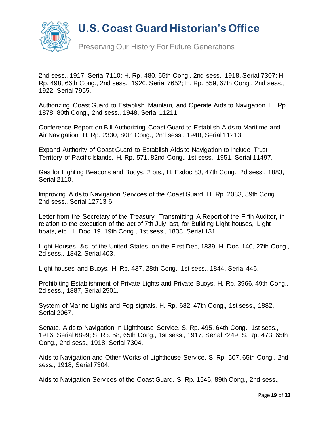

Preserving Our History For Future Generations

2nd sess., 1917, Serial 7110; H. Rp. 480, 65th Cong., 2nd sess., 1918, Serial 7307; H. Rp. 498, 66th Cong., 2nd sess., 1920, Serial 7652; H. Rp. 559, 67th Cong., 2nd sess., 1922, Serial 7955.

Authorizing Coast Guard to Establish, Maintain, and Operate Aids to Navigation. H. Rp. 1878, 80th Cong., 2nd sess., 1948, Serial 11211.

Conference Report on Bill Authorizing Coast Guard to Establish Aids to Maritime and Air Navigation. H. Rp. 2330, 80th Cong., 2nd sess., 1948, Serial 11213.

Expand Authority of Coast Guard to Establish Aids to Navigation to Include Trust Territory of Pacific Islands. H. Rp. 571, 82nd Cong., 1st sess., 1951, Serial 11497.

Gas for Lighting Beacons and Buoys, 2 pts., H. Exdoc 83, 47th Cong., 2d sess., 1883, Serial 2110.

Improving Aids to Navigation Services of the Coast Guard. H. Rp. 2083, 89th Cong., 2nd sess., Serial 12713-6.

Letter from the Secretary of the Treasury, Transmitting A Report of the Fifth Auditor, in relation to the execution of the act of 7th July last, for Building Light-houses, Lightboats, etc. H. Doc. 19, 19th Cong., 1st sess., 1838, Serial 131.

Light-Houses, &c. of the United States, on the First Dec, 1839. H. Doc. 140, 27th Cong., 2d sess., 1842, Serial 403.

Light-houses and Buoys. H. Rp. 437, 28th Cong., 1st sess., 1844, Serial 446.

Prohibiting Establishment of Private Lights and Private Buoys. H. Rp. 3966, 49th Cong., 2d sess., 1887, Serial 2501.

System of Marine Lights and Fog-signals. H. Rp. 682, 47th Cong., 1st sess., 1882, Serial 2067.

Senate. Aids to Navigation in Lighthouse Service. S. Rp. 495, 64th Cong., 1st sess., 1916, Serial 6899; S. Rp. 58, 65th Cong., 1st sess., 1917, Serial 7249; S. Rp. 473, 65th Cong., 2nd sess., 1918; Serial 7304.

Aids to Navigation and Other Works of Lighthouse Service. S. Rp. 507, 65th Cong., 2nd sess., 1918, Serial 7304.

Aids to Navigation Services of the Coast Guard. S. Rp. 1546, 89th Cong., 2nd sess.,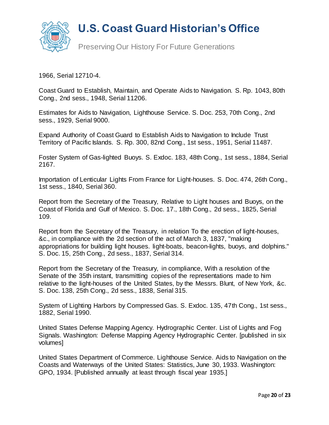

Preserving Our History For Future Generations

1966, Serial 12710-4.

Coast Guard to Establish, Maintain, and Operate Aids to Navigation. S. Rp. 1043, 80th Cong., 2nd sess., 1948, Serial 11206.

Estimates for Aids to Navigation, Lighthouse Service. S. Doc. 253, 70th Cong., 2nd sess., 1929, Serial 9000.

Expand Authority of Coast Guard to Establish Aids to Navigation to Include Trust Territory of Pacific Islands. S. Rp. 300, 82nd Cong., 1st sess., 1951, Serial 11487.

Foster System of Gas-lighted Buoys. S. Exdoc. 183, 48th Cong., 1st sess., 1884, Serial 2167.

Importation of Lenticular Lights From France for Light-houses. S. Doc. 474, 26th Cong., 1st sess., 1840, Serial 360.

Report from the Secretary of the Treasury, Relative to Light houses and Buoys, on the Coast of Florida and Gulf of Mexico. S. Doc. 17., 18th Cong., 2d sess., 1825, Serial 109.

Report from the Secretary of the Treasury, in relation To the erection of light-houses, &c., in compliance with the 2d section of the act of March 3, 1837, "making appropriations for building light houses. light-boats, beacon-lights, buoys, and dolphins." S. Doc. 15, 25th Cong., 2d sess., 1837, Serial 314.

Report from the Secretary of the Treasury, in compliance, With a resolution of the Senate of the 35th instant, transmitting copies of the representations made to him relative to the light-houses of the United States, by the Messrs. Blunt, of New York, &c. S. Doc. 138, 25th Cong., 2d sess., 1838, Serial 315.

System of Lighting Harbors by Compressed Gas. S. Exdoc. 135, 47th Cong., 1st sess., 1882, Serial 1990.

United States Defense Mapping Agency. Hydrographic Center. List of Lights and Fog Signals. Washington: Defense Mapping Agency Hydrographic Center. [published in six volumes]

United States Department of Commerce. Lighthouse Service. Aids to Navigation on the Coasts and Waterways of the United States: Statistics, June 30, 1933. Washington: GPO, 1934. [Published annually at least through fiscal year 1935.]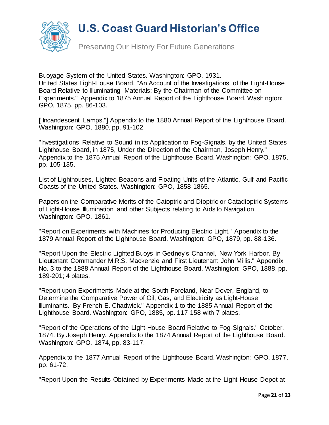

Preserving Our History For Future Generations

Buoyage System of the United States. Washington: GPO, 1931. United States Light-House Board. "An Account of the Investigations of the Light-House Board Relative to Illuminating Materials; By the Chairman of the Committee on Experiments." Appendix to 1875 Annual Report of the Lighthouse Board. Washington: GPO, 1875, pp. 86-103.

["Incandescent Lamps."] Appendix to the 1880 Annual Report of the Lighthouse Board. Washington: GPO, 1880, pp. 91-102.

"Investigations Relative to Sound in its Application to Fog-Signals, by the United States Lighthouse Board, in 1875, Under the Direction of the Chairman, Joseph Henry." Appendix to the 1875 Annual Report of the Lighthouse Board. Washington: GPO, 1875, pp. 105-135.

List of Lighthouses, Lighted Beacons and Floating Units of the Atlantic, Gulf and Pacific Coasts of the United States. Washington: GPO, 1858-1865.

Papers on the Comparative Merits of the Catoptric and Dioptric or Catadioptric Systems of Light-House Illumination and other Subjects relating to Aids to Navigation. Washington: GPO, 1861.

"Report on Experiments with Machines for Producing Electric Light." Appendix to the 1879 Annual Report of the Lighthouse Board. Washington: GPO, 1879, pp. 88-136.

"Report Upon the Electric Lighted Buoys in Gedney's Channel, New York Harbor. By Lieutenant Commander M.R.S. Mackenzie and First Lieutenant John Millis." Appendix No. 3 to the 1888 Annual Report of the Lighthouse Board. Washington: GPO, 1888, pp. 189-201; 4 plates.

"Report upon Experiments Made at the South Foreland, Near Dover, England, to Determine the Comparative Power of Oil, Gas, and Electricity as Light-House Illuminants. By French E. Chadwick." Appendix 1 to the 1885 Annual Report of the Lighthouse Board. Washington: GPO, 1885, pp. 117-158 with 7 plates.

"Report of the Operations of the Light-House Board Relative to Fog-Signals." October, 1874. By Joseph Henry. Appendix to the 1874 Annual Report of the Lighthouse Board. Washington: GPO, 1874, pp. 83-117.

Appendix to the 1877 Annual Report of the Lighthouse Board. Washington: GPO, 1877, pp. 61-72.

"Report Upon the Results Obtained by Experiments Made at the Light-House Depot at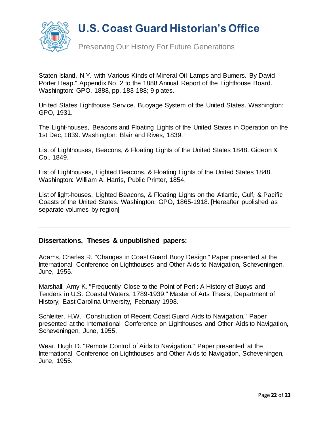

Preserving Our History For Future Generations

Staten Island, N.Y. with Various Kinds of Mineral-Oil Lamps and Burners. By David Porter Heap." Appendix No. 2 to the 1888 Annual Report of the Lighthouse Board. Washington: GPO, 1888, pp. 183-188; 9 plates.

United States Lighthouse Service. Buoyage System of the United States. Washington: GPO, 1931.

The Light-houses, Beacons and Floating Lights of the United States in Operation on the 1st Dec, 1839. Washington: Blair and Rives, 1839.

List of Lighthouses, Beacons, & Floating Lights of the United States 1848. Gideon & Co., 1849.

List of Lighthouses, Lighted Beacons, & Floating Lights of the United States 1848. Washington: William A. Harris, Public Printer, 1854.

List of light-houses, Lighted Beacons, & Floating Lights on the Atlantic, Gulf, & Pacific Coasts of the United States. Washington: GPO, 1865-1918. [Hereafter published as separate volumes by region]

#### **Dissertations, Theses & unpublished papers:**

Adams, Charles R. "Changes in Coast Guard Buoy Design." Paper presented at the International Conference on Lighthouses and Other Aids to Navigation, Scheveningen, June, 1955.

Marshall, Amy K. "Frequently Close to the Point of Peril: A History of Buoys and Tenders in U.S. Coastal Waters, 1789-1939." Master of Arts Thesis, Department of History, East Carolina University, February 1998.

Schleiter, H.W. "Construction of Recent Coast Guard Aids to Navigation." Paper presented at the International Conference on Lighthouses and Other Aids to Navigation, Scheveningen, June, 1955.

Wear, Hugh D. "Remote Control of Aids to Navigation." Paper presented at the International Conference on Lighthouses and Other Aids to Navigation, Scheveningen, June, 1955.